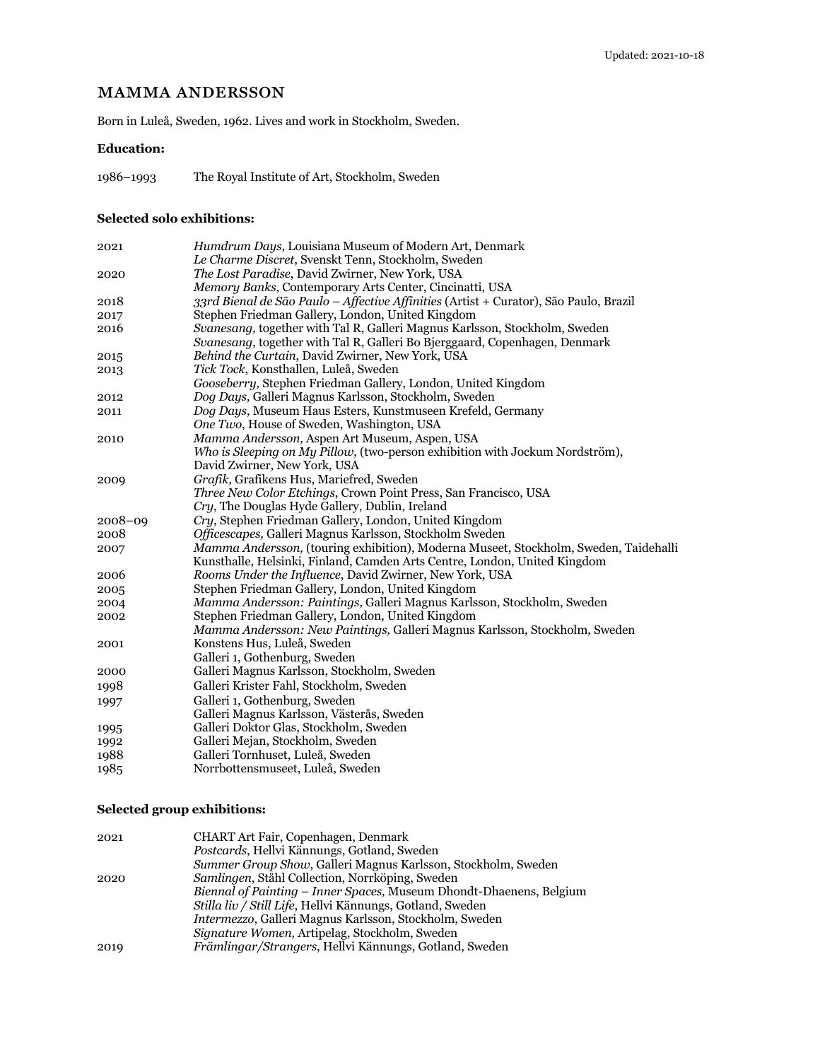# MAMMA ANDERSSON

Born in Luleå, Sweden, 1962. Lives and work in Stockholm, Sweden.

### **Education:**

1986–1993 The Royal Institute of Art, Stockholm, Sweden

#### **Selected solo exhibitions:**

| 2021        | <i>Humdrum Days, Louisiana Museum of Modern Art, Denmark</i>                          |
|-------------|---------------------------------------------------------------------------------------|
|             | Le Charme Discret, Svenskt Tenn, Stockholm, Sweden                                    |
| 2020        | The Lost Paradise, David Zwirner, New York, USA                                       |
|             | Memory Banks, Contemporary Arts Center, Cincinatti, USA                               |
| 2018        | 33rd Bienal de São Paulo – Affective Affinities (Artist + Curator), São Paulo, Brazil |
| 2017        | Stephen Friedman Gallery, London, United Kingdom                                      |
| 2016        | Svanesang, together with Tal R, Galleri Magnus Karlsson, Stockholm, Sweden            |
|             | Svanesang, together with Tal R, Galleri Bo Bjerggaard, Copenhagen, Denmark            |
| 2015        | Behind the Curtain, David Zwirner, New York, USA                                      |
| 2013        | Tick Tock, Konsthallen, Luleå, Sweden                                                 |
|             | Gooseberry, Stephen Friedman Gallery, London, United Kingdom                          |
| 2012        | Dog Days, Galleri Magnus Karlsson, Stockholm, Sweden                                  |
| 2011        | Dog Days, Museum Haus Esters, Kunstmuseen Krefeld, Germany                            |
|             | One Two, House of Sweden, Washington, USA                                             |
| 2010        | Mamma Andersson, Aspen Art Museum, Aspen, USA                                         |
|             | Who is Sleeping on My Pillow, (two-person exhibition with Jockum Nordström),          |
|             | David Zwirner, New York, USA                                                          |
| 2009        | Grafik, Grafikens Hus, Mariefred, Sweden                                              |
|             | <i>Three New Color Etchings, Crown Point Press, San Francisco, USA</i>                |
|             | Cry, The Douglas Hyde Gallery, Dublin, Ireland                                        |
| $2008 - 09$ | Cry, Stephen Friedman Gallery, London, United Kingdom                                 |
| 2008        | Officescapes, Galleri Magnus Karlsson, Stockholm Sweden                               |
| 2007        | Mamma Andersson, (touring exhibition), Moderna Museet, Stockholm, Sweden, Taidehalli  |
|             | Kunsthalle, Helsinki, Finland, Camden Arts Centre, London, United Kingdom             |
| 2006        | Rooms Under the Influence, David Zwirner, New York, USA                               |
| 2005        | Stephen Friedman Gallery, London, United Kingdom                                      |
| 2004        | Mamma Andersson: Paintings, Galleri Magnus Karlsson, Stockholm, Sweden                |
| 2002        | Stephen Friedman Gallery, London, United Kingdom                                      |
|             | Mamma Andersson: New Paintings, Galleri Magnus Karlsson, Stockholm, Sweden            |
| 2001        | Konstens Hus, Luleå, Sweden                                                           |
|             | Galleri 1, Gothenburg, Sweden                                                         |
| 2000        | Galleri Magnus Karlsson, Stockholm, Sweden                                            |
| 1998        | Galleri Krister Fahl, Stockholm, Sweden                                               |
| 1997        | Galleri 1, Gothenburg, Sweden                                                         |
|             | Galleri Magnus Karlsson, Västerås, Sweden                                             |
| 1995        | Galleri Doktor Glas, Stockholm, Sweden                                                |
| 1992        | Galleri Mejan, Stockholm, Sweden                                                      |
| 1988        | Galleri Tornhuset, Luleå, Sweden                                                      |
| 1985        | Norrbottensmuseet, Luleå, Sweden                                                      |

## **Selected group exhibitions:**

| Summer Group Show, Galleri Magnus Karlsson, Stockholm, Sweden       |
|---------------------------------------------------------------------|
|                                                                     |
| Biennal of Painting – Inner Spaces, Museum Dhondt-Dhaenens, Belgium |
|                                                                     |
|                                                                     |
|                                                                     |
|                                                                     |
|                                                                     |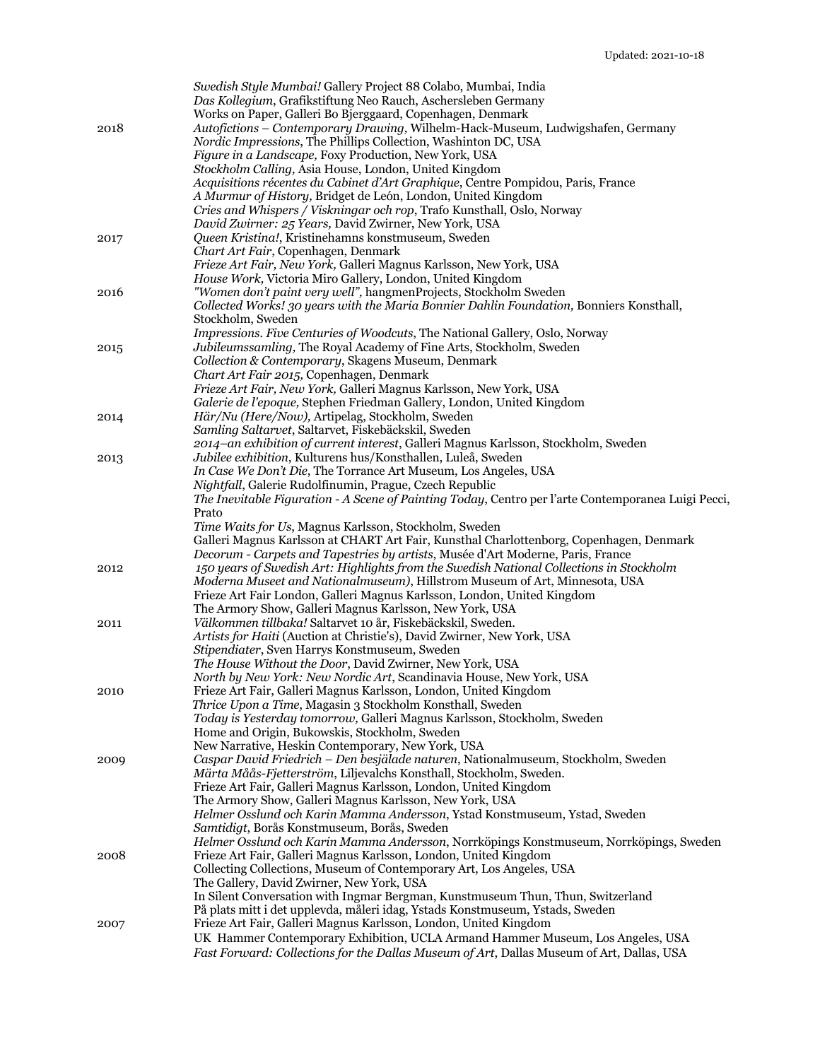|      | Swedish Style Mumbai! Gallery Project 88 Colabo, Mumbai, India<br>Das Kollegium, Grafikstiftung Neo Rauch, Aschersleben Germany<br>Works on Paper, Galleri Bo Bjerggaard, Copenhagen, Denmark                                                                       |
|------|---------------------------------------------------------------------------------------------------------------------------------------------------------------------------------------------------------------------------------------------------------------------|
| 2018 | Autofictions - Contemporary Drawing, Wilhelm-Hack-Museum, Ludwigshafen, Germany<br>Nordic Impressions, The Phillips Collection, Washinton DC, USA<br>Figure in a Landscape, Foxy Production, New York, USA<br>Stockholm Calling, Asia House, London, United Kingdom |
|      | Acquisitions récentes du Cabinet d'Art Graphique, Centre Pompidou, Paris, France<br>A Murmur of History, Bridget de León, London, United Kingdom                                                                                                                    |
|      | Cries and Whispers / Viskningar och rop, Trafo Kunsthall, Oslo, Norway<br>David Zwirner: 25 Years, David Zwirner, New York, USA<br>Queen Kristina!, Kristinehamns konstmuseum, Sweden                                                                               |
| 2017 | Chart Art Fair, Copenhagen, Denmark<br>Frieze Art Fair, New York, Galleri Magnus Karlsson, New York, USA                                                                                                                                                            |
| 2016 | House Work, Victoria Miro Gallery, London, United Kingdom<br>"Women don't paint very well", hangmenProjects, Stockholm Sweden                                                                                                                                       |
|      | Collected Works! 30 years with the Maria Bonnier Dahlin Foundation, Bonniers Konsthall,<br>Stockholm, Sweden                                                                                                                                                        |
| 2015 | Impressions. Five Centuries of Woodcuts, The National Gallery, Oslo, Norway<br>Jubileumssamling, The Royal Academy of Fine Arts, Stockholm, Sweden                                                                                                                  |
|      | Collection & Contemporary, Skagens Museum, Denmark                                                                                                                                                                                                                  |
|      | Chart Art Fair 2015, Copenhagen, Denmark<br>Frieze Art Fair, New York, Galleri Magnus Karlsson, New York, USA                                                                                                                                                       |
|      | Galerie de l'epoque, Stephen Friedman Gallery, London, United Kingdom                                                                                                                                                                                               |
| 2014 | Här/Nu (Here/Now), Artipelag, Stockholm, Sweden                                                                                                                                                                                                                     |
|      | Samling Saltarvet, Saltarvet, Fiskebäckskil, Sweden<br>2014-an exhibition of current interest, Galleri Magnus Karlsson, Stockholm, Sweden                                                                                                                           |
| 2013 | Jubilee exhibition, Kulturens hus/Konsthallen, Luleå, Sweden                                                                                                                                                                                                        |
|      | In Case We Don't Die, The Torrance Art Museum, Los Angeles, USA<br>Nightfall, Galerie Rudolfinumin, Prague, Czech Republic                                                                                                                                          |
|      | The Inevitable Figuration - A Scene of Painting Today, Centro per l'arte Contemporanea Luigi Pecci,                                                                                                                                                                 |
|      | Prato                                                                                                                                                                                                                                                               |
|      | Time Waits for Us, Magnus Karlsson, Stockholm, Sweden<br>Galleri Magnus Karlsson at CHART Art Fair, Kunsthal Charlottenborg, Copenhagen, Denmark                                                                                                                    |
|      | Decorum - Carpets and Tapestries by artists, Musée d'Art Moderne, Paris, France                                                                                                                                                                                     |
| 2012 | 150 years of Swedish Art: Highlights from the Swedish National Collections in Stockholm                                                                                                                                                                             |
|      | Moderna Museet and Nationalmuseum), Hillstrom Museum of Art, Minnesota, USA<br>Frieze Art Fair London, Galleri Magnus Karlsson, London, United Kingdom                                                                                                              |
|      | The Armory Show, Galleri Magnus Karlsson, New York, USA                                                                                                                                                                                                             |
| 2011 | Välkommen tillbaka! Saltarvet 10 år, Fiskebäckskil, Sweden.                                                                                                                                                                                                         |
|      | Artists for Haiti (Auction at Christie's), David Zwirner, New York, USA<br>Stipendiater, Sven Harrys Konstmuseum, Sweden                                                                                                                                            |
|      | The House Without the Door, David Zwirner, New York, USA                                                                                                                                                                                                            |
|      | North by New York: New Nordic Art, Scandinavia House, New York, USA<br>Frieze Art Fair, Galleri Magnus Karlsson, London, United Kingdom                                                                                                                             |
| 2010 | Thrice Upon a Time, Magasin 3 Stockholm Konsthall, Sweden                                                                                                                                                                                                           |
|      | Today is Yesterday tomorrow, Galleri Magnus Karlsson, Stockholm, Sweden                                                                                                                                                                                             |
|      | Home and Origin, Bukowskis, Stockholm, Sweden<br>New Narrative, Heskin Contemporary, New York, USA                                                                                                                                                                  |
| 2009 | Caspar David Friedrich - Den besjälade naturen, Nationalmuseum, Stockholm, Sweden                                                                                                                                                                                   |
|      | Märta Måås-Fjetterström, Liljevalchs Konsthall, Stockholm, Sweden.                                                                                                                                                                                                  |
|      | Frieze Art Fair, Galleri Magnus Karlsson, London, United Kingdom<br>The Armory Show, Galleri Magnus Karlsson, New York, USA                                                                                                                                         |
|      | Helmer Osslund och Karin Mamma Andersson, Ystad Konstmuseum, Ystad, Sweden                                                                                                                                                                                          |
|      | Samtidigt, Borås Konstmuseum, Borås, Sweden<br>Helmer Osslund och Karin Mamma Andersson, Norrköpings Konstmuseum, Norrköpings, Sweden                                                                                                                               |
| 2008 | Frieze Art Fair, Galleri Magnus Karlsson, London, United Kingdom                                                                                                                                                                                                    |
|      | Collecting Collections, Museum of Contemporary Art, Los Angeles, USA                                                                                                                                                                                                |
|      | The Gallery, David Zwirner, New York, USA<br>In Silent Conversation with Ingmar Bergman, Kunstmuseum Thun, Thun, Switzerland                                                                                                                                        |
|      | På plats mitt i det upplevda, måleri idag, Ystads Konstmuseum, Ystads, Sweden                                                                                                                                                                                       |
| 2007 | Frieze Art Fair, Galleri Magnus Karlsson, London, United Kingdom                                                                                                                                                                                                    |
|      | UK Hammer Contemporary Exhibition, UCLA Armand Hammer Museum, Los Angeles, USA<br>Fast Forward: Collections for the Dallas Museum of Art, Dallas Museum of Art, Dallas, USA                                                                                         |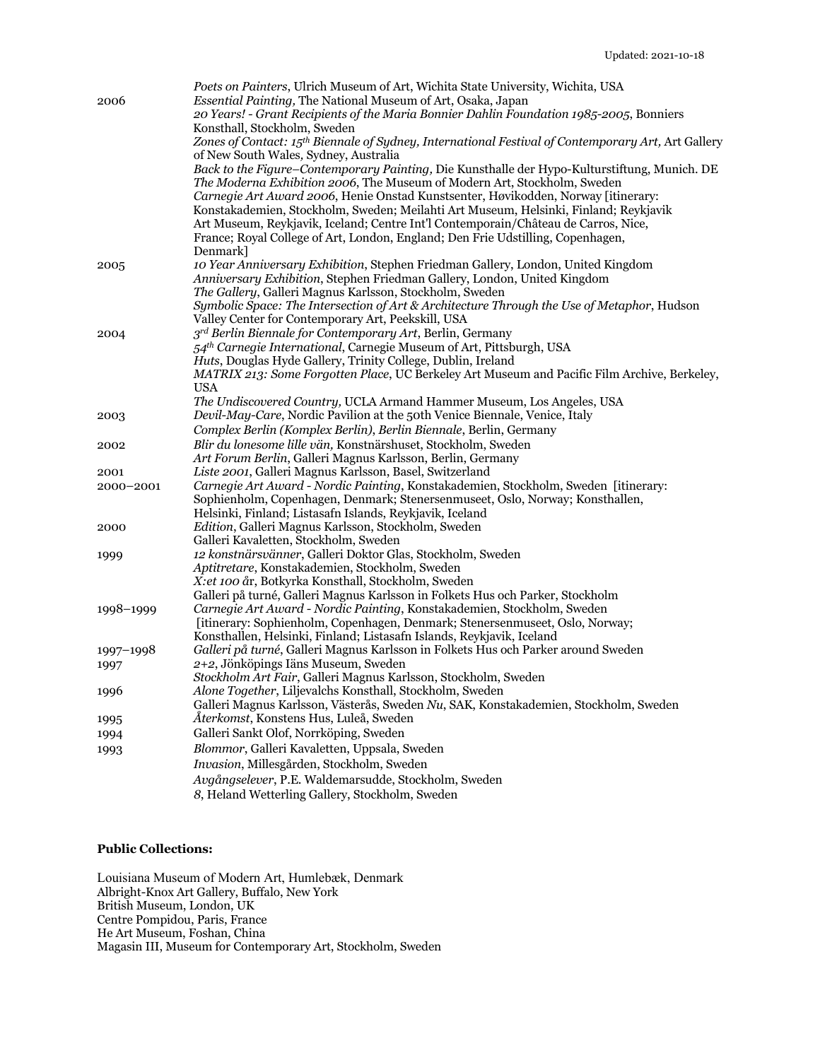|           | Poets on Painters, Ulrich Museum of Art, Wichita State University, Wichita, USA                    |
|-----------|----------------------------------------------------------------------------------------------------|
| 2006      | Essential Painting, The National Museum of Art, Osaka, Japan                                       |
|           | 20 Years! - Grant Recipients of the Maria Bonnier Dahlin Foundation 1985-2005, Bonniers            |
|           | Konsthall, Stockholm, Sweden                                                                       |
|           | Zones of Contact: 15th Biennale of Sydney, International Festival of Contemporary Art, Art Gallery |
|           | of New South Wales, Sydney, Australia                                                              |
|           | Back to the Figure-Contemporary Painting, Die Kunsthalle der Hypo-Kulturstiftung, Munich. DE       |
|           | The Moderna Exhibition 2006, The Museum of Modern Art, Stockholm, Sweden                           |
|           | Carnegie Art Award 2006, Henie Onstad Kunstsenter, Høvikodden, Norway [itinerary:                  |
|           | Konstakademien, Stockholm, Sweden; Meilahti Art Museum, Helsinki, Finland; Reykjavik               |
|           | Art Museum, Reykjavik, Iceland; Centre Int'l Contemporain/Château de Carros, Nice,                 |
|           | France; Royal College of Art, London, England; Den Frie Udstilling, Copenhagen,                    |
|           | Denmark]                                                                                           |
| 2005      | 10 Year Anniversary Exhibition, Stephen Friedman Gallery, London, United Kingdom                   |
|           | Anniversary Exhibition, Stephen Friedman Gallery, London, United Kingdom                           |
|           | The Gallery, Galleri Magnus Karlsson, Stockholm, Sweden                                            |
|           | Symbolic Space: The Intersection of Art & Architecture Through the Use of Metaphor, Hudson         |
|           | Valley Center for Contemporary Art, Peekskill, USA                                                 |
| 2004      | 3rd Berlin Biennale for Contemporary Art, Berlin, Germany                                          |
|           | 54 <sup>th</sup> Carnegie International, Carnegie Museum of Art, Pittsburgh, USA                   |
|           | Huts, Douglas Hyde Gallery, Trinity College, Dublin, Ireland                                       |
|           | MATRIX 213: Some Forgotten Place, UC Berkeley Art Museum and Pacific Film Archive, Berkeley,       |
|           | <b>USA</b>                                                                                         |
|           | The Undiscovered Country, UCLA Armand Hammer Museum, Los Angeles, USA                              |
| 2003      | Devil-May-Care, Nordic Pavilion at the 50th Venice Biennale, Venice, Italy                         |
|           | Complex Berlin (Komplex Berlin), Berlin Biennale, Berlin, Germany                                  |
| 2002      | Blir du lonesome lille vän, Konstnärshuset, Stockholm, Sweden                                      |
|           | Art Forum Berlin, Galleri Magnus Karlsson, Berlin, Germany                                         |
| 2001      | Liste 2001, Galleri Magnus Karlsson, Basel, Switzerland                                            |
| 2000-2001 | Carnegie Art Award - Nordic Painting, Konstakademien, Stockholm, Sweden [itinerary:                |
|           | Sophienholm, Copenhagen, Denmark; Stenersenmuseet, Oslo, Norway; Konsthallen,                      |
|           | Helsinki, Finland; Listasafn Islands, Reykjavik, Iceland                                           |
| 2000      | Edition, Galleri Magnus Karlsson, Stockholm, Sweden                                                |
|           | Galleri Kavaletten, Stockholm, Sweden                                                              |
| 1999      | 12 konstnärsvänner, Galleri Doktor Glas, Stockholm, Sweden                                         |
|           | Aptitretare, Konstakademien, Stockholm, Sweden                                                     |
|           | X: et 100 år, Botkyrka Konsthall, Stockholm, Sweden                                                |
|           | Galleri på turné, Galleri Magnus Karlsson in Folkets Hus och Parker, Stockholm                     |
| 1998-1999 | Carnegie Art Award - Nordic Painting, Konstakademien, Stockholm, Sweden                            |
|           | [itinerary: Sophienholm, Copenhagen, Denmark; Stenersenmuseet, Oslo, Norway;                       |
|           | Konsthallen, Helsinki, Finland; Listasafn Islands, Reykjavik, Iceland                              |
| 1997-1998 | Galleri på turné, Galleri Magnus Karlsson in Folkets Hus och Parker around Sweden                  |
| 1997      | 2+2, Jönköpings Iäns Museum, Sweden                                                                |
|           | Stockholm Art Fair, Galleri Magnus Karlsson, Stockholm, Sweden                                     |
| 1996      | Alone Together, Liljevalchs Konsthall, Stockholm, Sweden                                           |
|           | Galleri Magnus Karlsson, Västerås, Sweden Nu, SAK, Konstakademien, Stockholm, Sweden               |
| 1995      | Aterkomst, Konstens Hus, Luleå, Sweden                                                             |
| 1994      | Galleri Sankt Olof, Norrköping, Sweden                                                             |
| 1993      | Blommor, Galleri Kavaletten, Uppsala, Sweden                                                       |
|           | Invasion, Millesgården, Stockholm, Sweden                                                          |
|           | Avgångselever, P.E. Waldemarsudde, Stockholm, Sweden                                               |
|           | 8, Heland Wetterling Gallery, Stockholm, Sweden                                                    |

## **Public Collections:**

Louisiana Museum of Modern Art, Humlebæk, Denmark Albright-Knox Art Gallery, Buffalo, New York British Museum, London, UK Centre Pompidou, Paris, France He Art Museum, Foshan, China Magasin III, Museum for Contemporary Art, Stockholm, Sweden